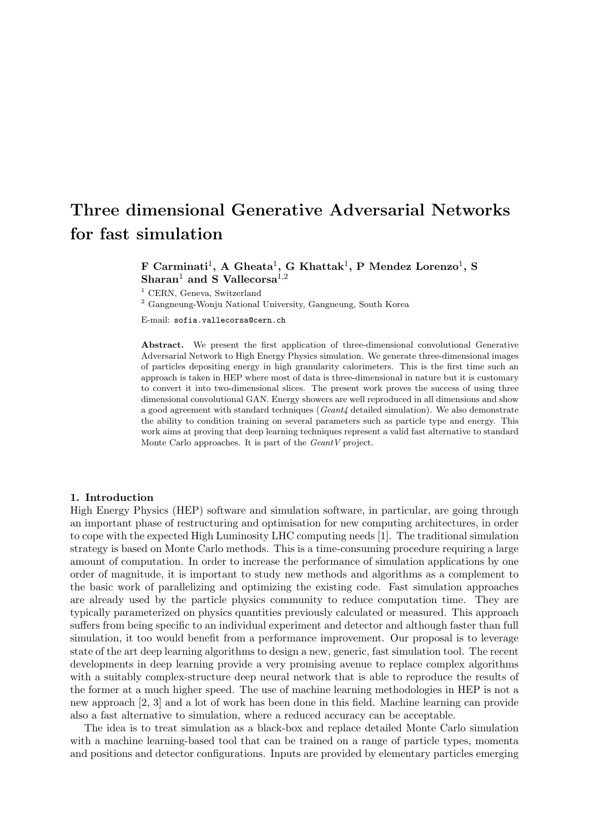# Three dimensional Generative Adversarial Networks for fast simulation

## $\bf{F}$  Carminati<sup>1</sup>, A Gheata<sup>1</sup>, G Khattak<sup>1</sup>, P Mendez Lorenzo<sup>1</sup>, S Sharan<sup>1</sup> and S Vallecorsa<sup>1,2</sup>

<sup>1</sup> CERN, Geneva, Switzerland

 $^2$  Gangneung-Wonju National University, Gangneung, South Korea

E-mail: sofia.vallecorsa@cern.ch

Abstract. We present the first application of three-dimensional convolutional Generative Adversarial Network to High Energy Physics simulation. We generate three-dimensional images of particles depositing energy in high granularity calorimeters. This is the first time such an approach is taken in HEP where most of data is three-dimensional in nature but it is customary to convert it into two-dimensional slices. The present work proves the success of using three dimensional convolutional GAN. Energy showers are well reproduced in all dimensions and show a good agreement with standard techniques (Geant4 detailed simulation). We also demonstrate the ability to condition training on several parameters such as particle type and energy. This work aims at proving that deep learning techniques represent a valid fast alternative to standard Monte Carlo approaches. It is part of the GeantV project.

#### 1. Introduction

High Energy Physics (HEP) software and simulation software, in particular, are going through an important phase of restructuring and optimisation for new computing architectures, in order to cope with the expected High Luminosity LHC computing needs [1]. The traditional simulation strategy is based on Monte Carlo methods. This is a time-consuming procedure requiring a large amount of computation. In order to increase the performance of simulation applications by one order of magnitude, it is important to study new methods and algorithms as a complement to the basic work of parallelizing and optimizing the existing code. Fast simulation approaches are already used by the particle physics community to reduce computation time. They are typically parameterized on physics quantities previously calculated or measured. This approach suffers from being specific to an individual experiment and detector and although faster than full simulation, it too would benefit from a performance improvement. Our proposal is to leverage state of the art deep learning algorithms to design a new, generic, fast simulation tool. The recent developments in deep learning provide a very promising avenue to replace complex algorithms with a suitably complex-structure deep neural network that is able to reproduce the results of the former at a much higher speed. The use of machine learning methodologies in HEP is not a new approach [2, 3] and a lot of work has been done in this field. Machine learning can provide also a fast alternative to simulation, where a reduced accuracy can be acceptable.

The idea is to treat simulation as a black-box and replace detailed Monte Carlo simulation with a machine learning-based tool that can be trained on a range of particle types, momenta and positions and detector configurations. Inputs are provided by elementary particles emerging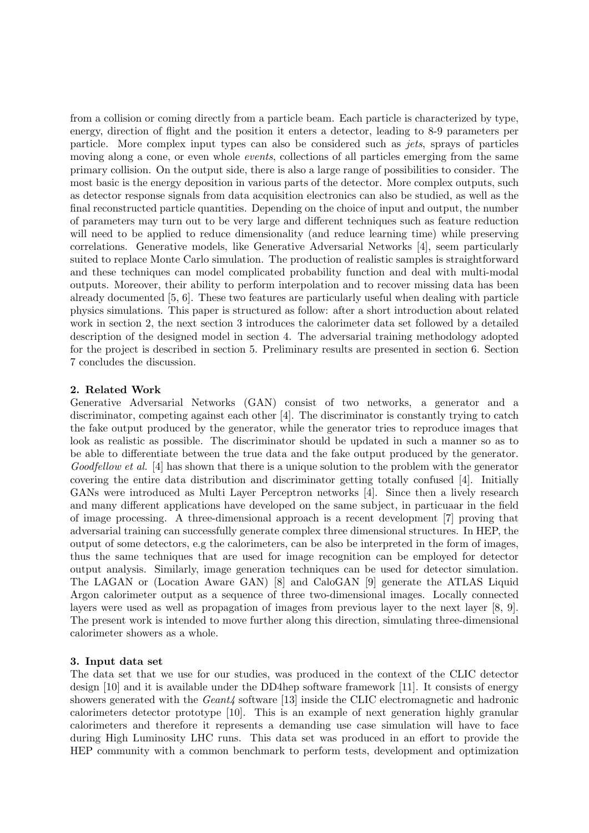from a collision or coming directly from a particle beam. Each particle is characterized by type, energy, direction of flight and the position it enters a detector, leading to 8-9 parameters per particle. More complex input types can also be considered such as jets, sprays of particles moving along a cone, or even whole *events*, collections of all particles emerging from the same primary collision. On the output side, there is also a large range of possibilities to consider. The most basic is the energy deposition in various parts of the detector. More complex outputs, such as detector response signals from data acquisition electronics can also be studied, as well as the final reconstructed particle quantities. Depending on the choice of input and output, the number of parameters may turn out to be very large and different techniques such as feature reduction will need to be applied to reduce dimensionality (and reduce learning time) while preserving correlations. Generative models, like Generative Adversarial Networks [4], seem particularly suited to replace Monte Carlo simulation. The production of realistic samples is straightforward and these techniques can model complicated probability function and deal with multi-modal outputs. Moreover, their ability to perform interpolation and to recover missing data has been already documented [5, 6]. These two features are particularly useful when dealing with particle physics simulations. This paper is structured as follow: after a short introduction about related work in section 2, the next section 3 introduces the calorimeter data set followed by a detailed description of the designed model in section 4. The adversarial training methodology adopted for the project is described in section 5. Preliminary results are presented in section 6. Section 7 concludes the discussion.

## 2. Related Work

Generative Adversarial Networks (GAN) consist of two networks, a generator and a discriminator, competing against each other [4]. The discriminator is constantly trying to catch the fake output produced by the generator, while the generator tries to reproduce images that look as realistic as possible. The discriminator should be updated in such a manner so as to be able to differentiate between the true data and the fake output produced by the generator. Goodfellow et al. [4] has shown that there is a unique solution to the problem with the generator covering the entire data distribution and discriminator getting totally confused [4]. Initially GANs were introduced as Multi Layer Perceptron networks [4]. Since then a lively research and many different applications have developed on the same subject, in particuaar in the field of image processing. A three-dimensional approach is a recent development [7] proving that adversarial training can successfully generate complex three dimensional structures. In HEP, the output of some detectors, e.g the calorimeters, can be also be interpreted in the form of images, thus the same techniques that are used for image recognition can be employed for detector output analysis. Similarly, image generation techniques can be used for detector simulation. The LAGAN or (Location Aware GAN) [8] and CaloGAN [9] generate the ATLAS Liquid Argon calorimeter output as a sequence of three two-dimensional images. Locally connected layers were used as well as propagation of images from previous layer to the next layer [8, 9]. The present work is intended to move further along this direction, simulating three-dimensional calorimeter showers as a whole.

## 3. Input data set

The data set that we use for our studies, was produced in the context of the CLIC detector design [10] and it is available under the DD4hep software framework [11]. It consists of energy showers generated with the Geant4 software [13] inside the CLIC electromagnetic and hadronic calorimeters detector prototype [10]. This is an example of next generation highly granular calorimeters and therefore it represents a demanding use case simulation will have to face during High Luminosity LHC runs. This data set was produced in an effort to provide the HEP community with a common benchmark to perform tests, development and optimization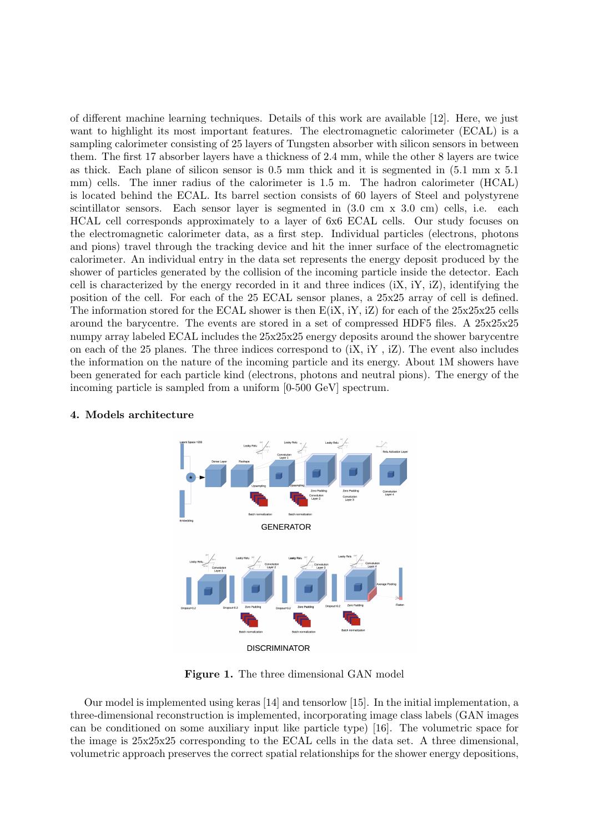of different machine learning techniques. Details of this work are available [12]. Here, we just want to highlight its most important features. The electromagnetic calorimeter (ECAL) is a sampling calorimeter consisting of 25 layers of Tungsten absorber with silicon sensors in between them. The first 17 absorber layers have a thickness of 2.4 mm, while the other 8 layers are twice as thick. Each plane of silicon sensor is 0.5 mm thick and it is segmented in (5.1 mm x 5.1 mm) cells. The inner radius of the calorimeter is 1.5 m. The hadron calorimeter (HCAL) is located behind the ECAL. Its barrel section consists of 60 layers of Steel and polystyrene scintillator sensors. Each sensor layer is segmented in  $(3.0 \text{ cm} \times 3.0 \text{ cm})$  cells, i.e. each HCAL cell corresponds approximately to a layer of 6x6 ECAL cells. Our study focuses on the electromagnetic calorimeter data, as a first step. Individual particles (electrons, photons and pions) travel through the tracking device and hit the inner surface of the electromagnetic calorimeter. An individual entry in the data set represents the energy deposit produced by the shower of particles generated by the collision of the incoming particle inside the detector. Each cell is characterized by the energy recorded in it and three indices  $(X, iY, iZ)$ , identifying the position of the cell. For each of the 25 ECAL sensor planes, a 25x25 array of cell is defined. The information stored for the ECAL shower is then  $E(iX, iY, iZ)$  for each of the  $25x25x25$  cells around the barycentre. The events are stored in a set of compressed HDF5 files. A 25x25x25 numpy array labeled ECAL includes the 25x25x25 energy deposits around the shower barycentre on each of the 25 planes. The three indices correspond to  $(X, iY, iZ)$ . The event also includes the information on the nature of the incoming particle and its energy. About 1M showers have been generated for each particle kind (electrons, photons and neutral pions). The energy of the incoming particle is sampled from a uniform [0-500 GeV] spectrum.



## 4. Models architecture

Figure 1. The three dimensional GAN model

Our model is implemented using keras [14] and tensorlow [15]. In the initial implementation, a three-dimensional reconstruction is implemented, incorporating image class labels (GAN images can be conditioned on some auxiliary input like particle type) [16]. The volumetric space for the image is 25x25x25 corresponding to the ECAL cells in the data set. A three dimensional, volumetric approach preserves the correct spatial relationships for the shower energy depositions,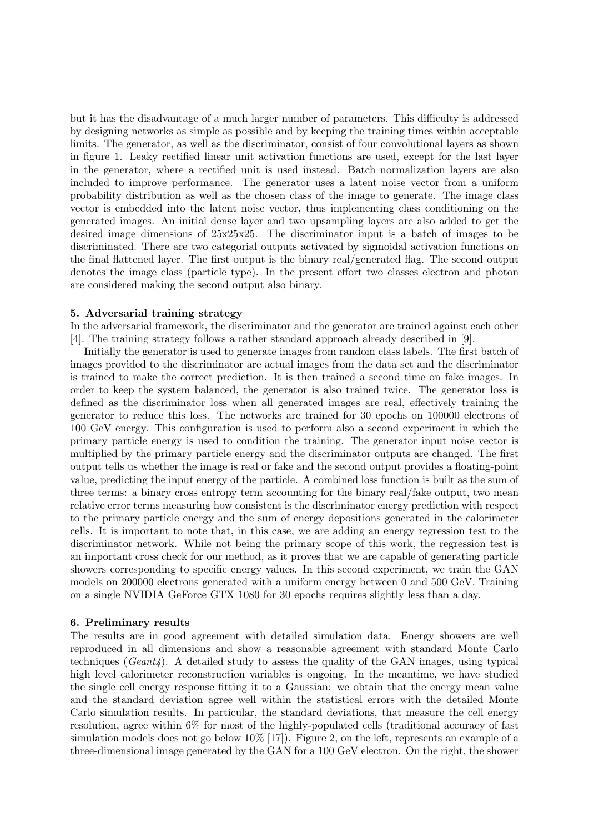but it has the disadvantage of a much larger number of parameters. This difficulty is addressed by designing networks as simple as possible and by keeping the training times within acceptable limits. The generator, as well as the discriminator, consist of four convolutional layers as shown in figure 1. Leaky rectified linear unit activation functions are used, except for the last layer in the generator, where a rectified unit is used instead. Batch normalization layers are also included to improve performance. The generator uses a latent noise vector from a uniform probability distribution as well as the chosen class of the image to generate. The image class vector is embedded into the latent noise vector, thus implementing class conditioning on the generated images. An initial dense layer and two upsampling layers are also added to get the desired image dimensions of  $25x25x25$ . The discriminator input is a batch of images to be discriminated. There are two categorial outputs activated by sigmoidal activation functions on the final flattened layer. The first output is the binary real/generated flag. The second output denotes the image class (particle type). In the present effort two classes electron and photon are considered making the second output also binary.

#### 5. Adversarial training strategy

In the adversarial framework, the discriminator and the generator are trained against each other [4]. The training strategy follows a rather standard approach already described in [9].

Initially the generator is used to generate images from random class labels. The first batch of images provided to the discriminator are actual images from the data set and the discriminator is trained to make the correct prediction. It is then trained a second time on fake images. In order to keep the system balanced, the generator is also trained twice. The generator loss is defined as the discriminator loss when all generated images are real, effectively training the generator to reduce this loss. The networks are trained for 30 epochs on 100000 electrons of 100 GeV energy. This configuration is used to perform also a second experiment in which the primary particle energy is used to condition the training. The generator input noise vector is multiplied by the primary particle energy and the discriminator outputs are changed. The first output tells us whether the image is real or fake and the second output provides a floating-point value, predicting the input energy of the particle. A combined loss function is built as the sum of three terms: a binary cross entropy term accounting for the binary real/fake output, two mean relative error terms measuring how consistent is the discriminator energy prediction with respect to the primary particle energy and the sum of energy depositions generated in the calorimeter cells. It is important to note that, in this case, we are adding an energy regression test to the discriminator network. While not being the primary scope of this work, the regression test is an important cross check for our method, as it proves that we are capable of generating particle showers corresponding to specific energy values. In this second experiment, we train the GAN models on 200000 electrons generated with a uniform energy between 0 and 500 GeV. Training on a single NVIDIA GeForce GTX 1080 for 30 epochs requires slightly less than a day.

## 6. Preliminary results

The results are in good agreement with detailed simulation data. Energy showers are well reproduced in all dimensions and show a reasonable agreement with standard Monte Carlo techniques ( $Geant\ell$ ). A detailed study to assess the quality of the GAN images, using typical high level calorimeter reconstruction variables is ongoing. In the meantime, we have studied the single cell energy response fitting it to a Gaussian: we obtain that the energy mean value and the standard deviation agree well within the statistical errors with the detailed Monte Carlo simulation results. In particular, the standard deviations, that measure the cell energy resolution, agree within 6% for most of the highly-populated cells (traditional accuracy of fast simulation models does not go below 10% [17]). Figure 2, on the left, represents an example of a three-dimensional image generated by the GAN for a 100 GeV electron. On the right, the shower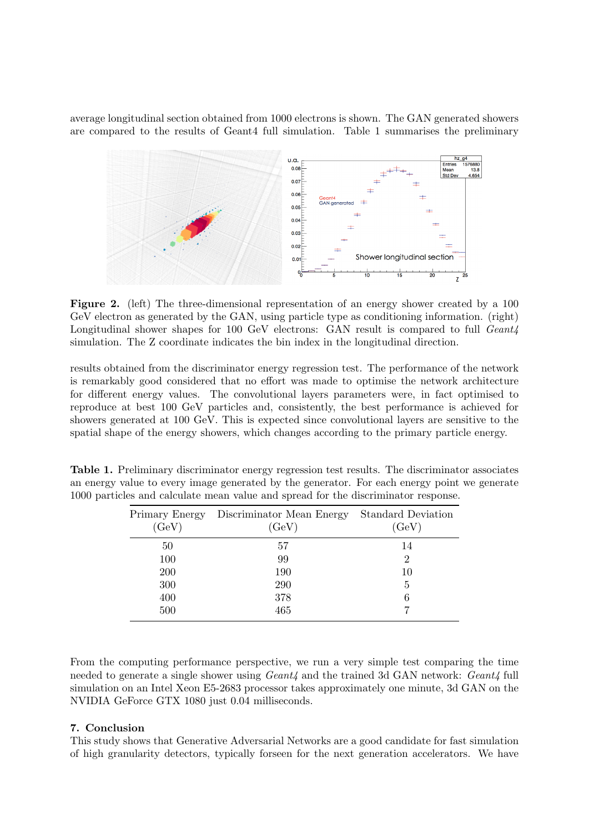average longitudinal section obtained from 1000 electrons is shown. The GAN generated showers are compared to the results of Geant4 full simulation. Table 1 summarises the preliminary



Figure 2. (left) The three-dimensional representation of an energy shower created by a 100 GeV electron as generated by the GAN, using particle type as conditioning information. (right) Longitudinal shower shapes for 100 GeV electrons: GAN result is compared to full Geant<sub>4</sub> simulation. The Z coordinate indicates the bin index in the longitudinal direction.

results obtained from the discriminator energy regression test. The performance of the network is remarkably good considered that no effort was made to optimise the network architecture for different energy values. The convolutional layers parameters were, in fact optimised to reproduce at best 100 GeV particles and, consistently, the best performance is achieved for showers generated at 100 GeV. This is expected since convolutional layers are sensitive to the spatial shape of the energy showers, which changes according to the primary particle energy.

|                                                                                    | <b>Table 1.</b> Preliminary discriminator energy regression test results. The discriminator associates |
|------------------------------------------------------------------------------------|--------------------------------------------------------------------------------------------------------|
|                                                                                    | an energy value to every image generated by the generator. For each energy point we generate           |
| 1000 particles and calculate mean value and spread for the discriminator response. |                                                                                                        |

| Primary Energy<br>(GeV) | Discriminator Mean Energy<br>(GeV) | <b>Standard Deviation</b><br>(GeV) |
|-------------------------|------------------------------------|------------------------------------|
| 50                      | 57                                 | 14                                 |
| 100                     | 99                                 | 2                                  |
| 200                     | 190                                | 10                                 |
| 300                     | 290                                | 5                                  |
| 400                     | 378                                | 6                                  |
| 500                     | 465                                |                                    |

From the computing performance perspective, we run a very simple test comparing the time needed to generate a single shower using  $Geant_4$  and the trained 3d GAN network:  $Geant_4$  full simulation on an Intel Xeon E5-2683 processor takes approximately one minute, 3d GAN on the NVIDIA GeForce GTX 1080 just 0.04 milliseconds.

## 7. Conclusion

This study shows that Generative Adversarial Networks are a good candidate for fast simulation of high granularity detectors, typically forseen for the next generation accelerators. We have